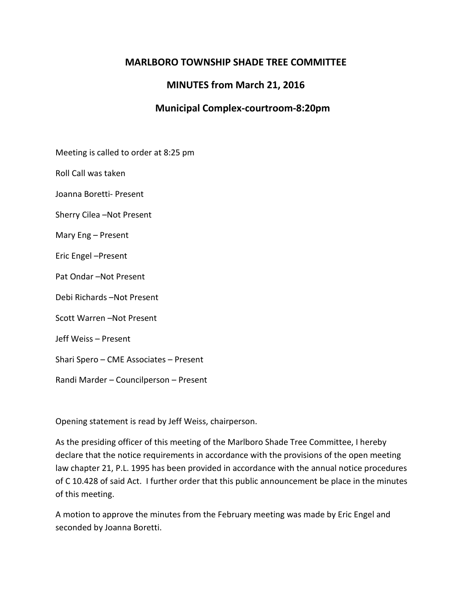# **MARLBORO TOWNSHIP SHADE TREE COMMITTEE**

# **MINUTES from March 21, 2016**

## **Municipal Complex-courtroom-8:20pm**

Meeting is called to order at 8:25 pm

Roll Call was taken

Joanna Boretti- Present

Sherry Cilea –Not Present

Mary Eng – Present

Eric Engel –Present

Pat Ondar –Not Present

Debi Richards –Not Present

Scott Warren –Not Present

Jeff Weiss – Present

Shari Spero – CME Associates – Present

Randi Marder – Councilperson – Present

Opening statement is read by Jeff Weiss, chairperson.

As the presiding officer of this meeting of the Marlboro Shade Tree Committee, I hereby declare that the notice requirements in accordance with the provisions of the open meeting law chapter 21, P.L. 1995 has been provided in accordance with the annual notice procedures of C 10.428 of said Act. I further order that this public announcement be place in the minutes of this meeting.

A motion to approve the minutes from the February meeting was made by Eric Engel and seconded by Joanna Boretti.